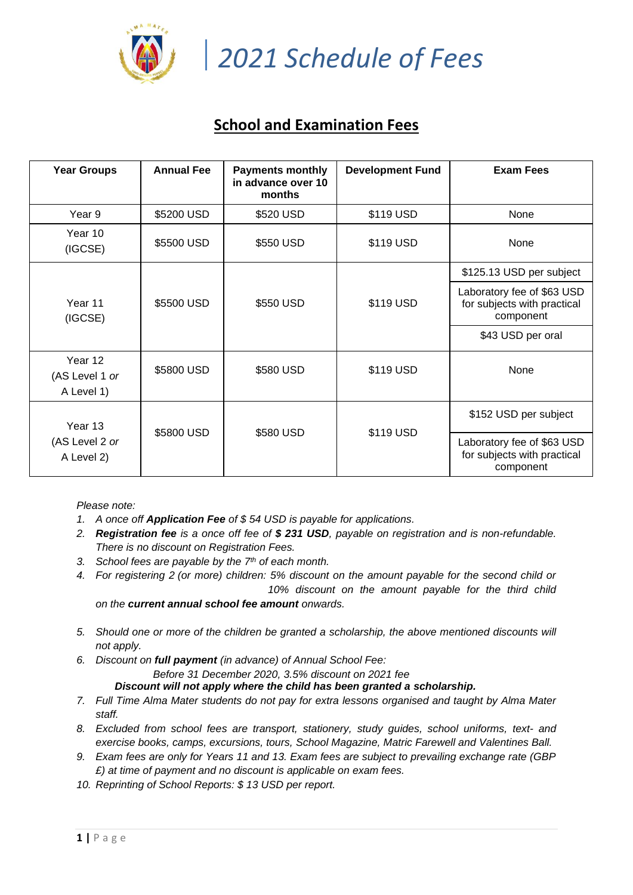

*2021 Schedule of Fees*

# **School and Examination Fees**

| <b>Year Groups</b>                      | <b>Annual Fee</b> | <b>Payments monthly</b><br>in advance over 10<br>months | <b>Development Fund</b> | <b>Exam Fees</b>                                                       |
|-----------------------------------------|-------------------|---------------------------------------------------------|-------------------------|------------------------------------------------------------------------|
| Year 9                                  | \$5200 USD        | \$520 USD                                               | \$119 USD               | None                                                                   |
| Year 10<br>(IGCSE)                      | \$5500 USD        | \$550 USD                                               | \$119 USD               | None                                                                   |
| Year 11<br>(IGCSE)                      | \$5500 USD        | \$550 USD                                               | \$119 USD               | \$125.13 USD per subject                                               |
|                                         |                   |                                                         |                         | Laboratory fee of \$63 USD<br>for subjects with practical<br>component |
|                                         |                   |                                                         |                         | \$43 USD per oral                                                      |
| Year 12<br>(AS Level 1 or<br>A Level 1) | \$5800 USD        | \$580 USD                                               | \$119 USD               | None                                                                   |
| Year 13<br>(AS Level 2 or<br>A Level 2) | \$5800 USD        | \$580 USD                                               | \$119 USD               | \$152 USD per subject                                                  |
|                                         |                   |                                                         |                         | Laboratory fee of \$63 USD<br>for subjects with practical<br>component |

*Please note:*

- *1. A once off Application Fee of \$ 54 USD is payable for applications.*
- *2. Registration fee is a once off fee of \$ 231 USD, payable on registration and is non-refundable. There is no discount on Registration Fees.*
- *3. School fees are payable by the 7th of each month.*
- *4. For registering 2 (or more) children: 5% discount on the amount payable for the second child or 10% discount on the amount payable for the third child on the current annual school fee amount onwards.*
- *5. Should one or more of the children be granted a scholarship, the above mentioned discounts will not apply.*
- *6. Discount on full payment (in advance) of Annual School Fee: Before 31 December 2020, 3.5% discount on 2021 fee*

*Discount will not apply where the child has been granted a scholarship.*

- *7. Full Time Alma Mater students do not pay for extra lessons organised and taught by Alma Mater staff.*
- *8. Excluded from school fees are transport, stationery, study guides, school uniforms, text- and exercise books, camps, excursions, tours, School Magazine, Matric Farewell and Valentines Ball.*
- *9. Exam fees are only for Years 11 and 13. Exam fees are subject to prevailing exchange rate (GBP £) at time of payment and no discount is applicable on exam fees.*
- *10. Reprinting of School Reports: \$ 13 USD per report.*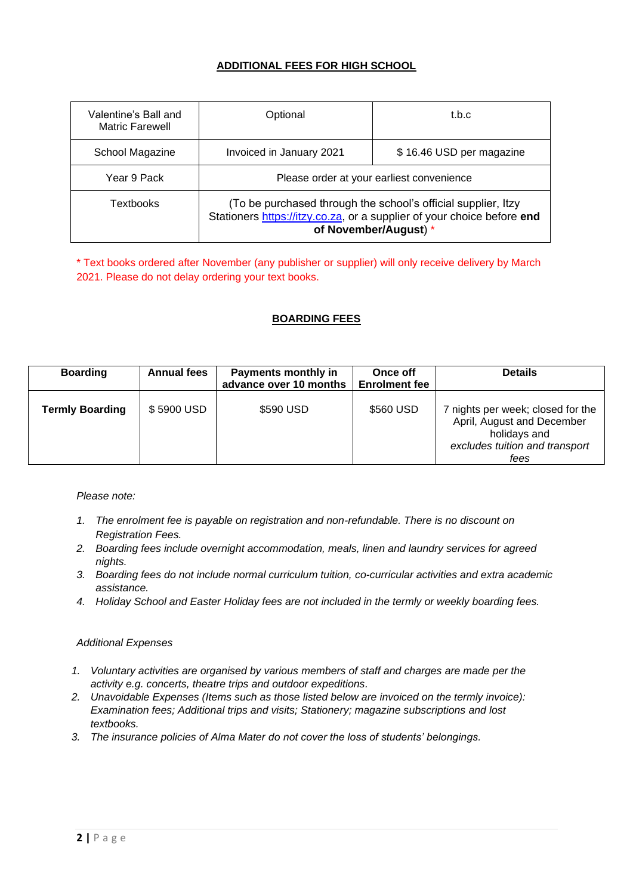## **ADDITIONAL FEES FOR HIGH SCHOOL**

| Valentine's Ball and<br><b>Matric Farewell</b> | Optional                                                                                                                                                         | t.b.c                    |  |
|------------------------------------------------|------------------------------------------------------------------------------------------------------------------------------------------------------------------|--------------------------|--|
| School Magazine                                | Invoiced in January 2021                                                                                                                                         | \$16.46 USD per magazine |  |
| Year 9 Pack                                    | Please order at your earliest convenience                                                                                                                        |                          |  |
| Textbooks                                      | (To be purchased through the school's official supplier, Itzy<br>Stationers https://itzy.co.za, or a supplier of your choice before end<br>of November/August) * |                          |  |

\* Text books ordered after November (any publisher or supplier) will only receive delivery by March 2021. Please do not delay ordering your text books.

### **BOARDING FEES**

| <b>Boarding</b>        | <b>Annual fees</b> | <b>Payments monthly in</b><br>advance over 10 months | Once off<br><b>Enrolment fee</b> | <b>Details</b>                                                                                                            |
|------------------------|--------------------|------------------------------------------------------|----------------------------------|---------------------------------------------------------------------------------------------------------------------------|
| <b>Termly Boarding</b> | \$5900 USD         | \$590 USD                                            | \$560 USD                        | 7 nights per week; closed for the<br>April, August and December<br>holidays and<br>excludes tuition and transport<br>fees |

#### *Please note:*

- *1. The enrolment fee is payable on registration and non-refundable. There is no discount on Registration Fees.*
- *2. Boarding fees include overnight accommodation, meals, linen and laundry services for agreed nights.*
- *3. Boarding fees do not include normal curriculum tuition, co-curricular activities and extra academic assistance.*
- *4. Holiday School and Easter Holiday fees are not included in the termly or weekly boarding fees.*

#### *Additional Expenses*

- *1. Voluntary activities are organised by various members of staff and charges are made per the activity e.g. concerts, theatre trips and outdoor expeditions.*
- *2. Unavoidable Expenses (Items such as those listed below are invoiced on the termly invoice): Examination fees; Additional trips and visits; Stationery; magazine subscriptions and lost textbooks.*
- *3. The insurance policies of Alma Mater do not cover the loss of students' belongings.*